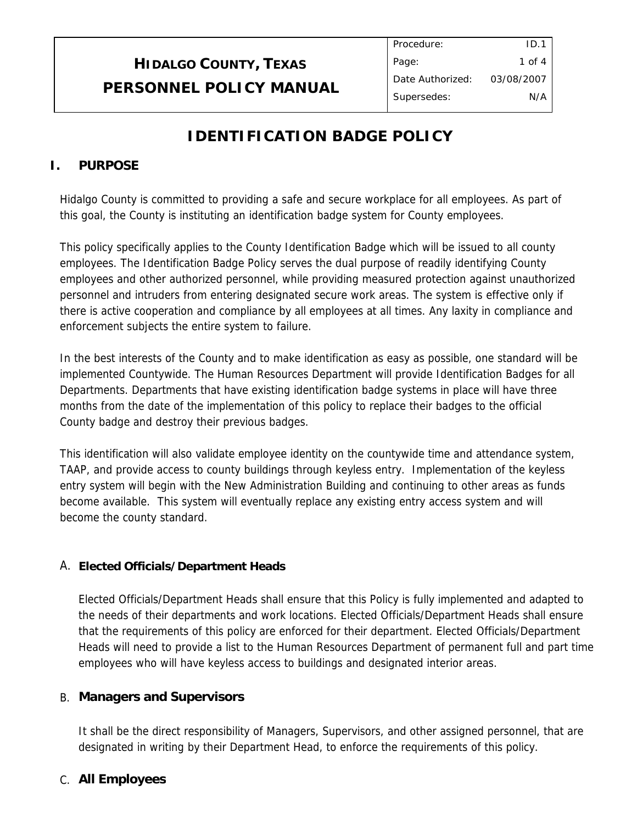### **IDENTIFICATION BADGE POLICY**

### **I. PURPOSE**

Hidalgo County is committed to providing a safe and secure workplace for all employees. As part of this goal, the County is instituting an identification badge system for County employees.

This policy specifically applies to the County Identification Badge which will be issued to all county employees. The Identification Badge Policy serves the dual purpose of readily identifying County employees and other authorized personnel, while providing measured protection against unauthorized personnel and intruders from entering designated secure work areas. The system is effective only if there is active cooperation and compliance by all employees at all times. Any laxity in compliance and enforcement subjects the entire system to failure.

In the best interests of the County and to make identification as easy as possible, one standard will be implemented Countywide. The Human Resources Department will provide Identification Badges for all Departments. Departments that have existing identification badge systems in place will have three months from the date of the implementation of this policy to replace their badges to the official County badge and destroy their previous badges.

This identification will also validate employee identity on the countywide time and attendance system, TAAP, and provide access to county buildings through keyless entry. Implementation of the keyless entry system will begin with the New Administration Building and continuing to other areas as funds become available. This system will eventually replace any existing entry access system and will become the county standard.

### A. **Elected Officials/Department Heads**

Elected Officials/Department Heads shall ensure that this Policy is fully implemented and adapted to the needs of their departments and work locations. Elected Officials/Department Heads shall ensure that the requirements of this policy are enforced for their department. Elected Officials/Department Heads will need to provide a list to the Human Resources Department of permanent full and part time employees who will have keyless access to buildings and designated interior areas.

### B. **Managers and Supervisors**

It shall be the direct responsibility of Managers, Supervisors, and other assigned personnel, that are designated in writing by their Department Head, to enforce the requirements of this policy.

### C. **All Employees**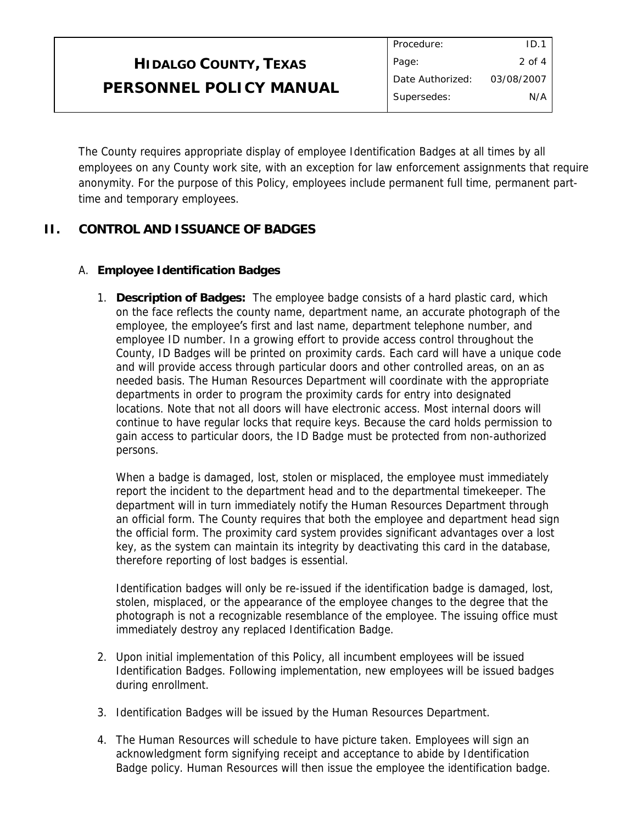The County requires appropriate display of employee Identification Badges at all times by all employees on any County work site, with an exception for law enforcement assignments that require anonymity. For the purpose of this Policy, employees include permanent full time, permanent parttime and temporary employees.

### **II. CONTROL AND ISSUANCE OF BADGES**

#### A. **Employee Identification Badges**

1. **Description of Badges:** The employee badge consists of a hard plastic card, which on the face reflects the county name, department name, an accurate photograph of the employee, the employee's first and last name, department telephone number, and employee ID number. In a growing effort to provide access control throughout the County, ID Badges will be printed on proximity cards. Each card will have a unique code and will provide access through particular doors and other controlled areas, on an as needed basis. The Human Resources Department will coordinate with the appropriate departments in order to program the proximity cards for entry into designated locations. Note that not all doors will have electronic access. Most internal doors will continue to have regular locks that require keys. Because the card holds permission to gain access to particular doors, the ID Badge must be protected from non-authorized persons.

When a badge is damaged, lost, stolen or misplaced, the employee must immediately report the incident to the department head and to the departmental timekeeper. The department will in turn immediately notify the Human Resources Department through an official form. The County requires that both the employee and department head sign the official form. The proximity card system provides significant advantages over a lost key, as the system can maintain its integrity by deactivating this card in the database, therefore reporting of lost badges is essential.

Identification badges will only be re-issued if the identification badge is damaged, lost, stolen, misplaced, or the appearance of the employee changes to the degree that the photograph is not a recognizable resemblance of the employee. The issuing office must immediately destroy any replaced Identification Badge.

- 2. Upon initial implementation of this Policy, all incumbent employees will be issued Identification Badges. Following implementation, new employees will be issued badges during enrollment.
- 3. Identification Badges will be issued by the Human Resources Department.
- 4. The Human Resources will schedule to have picture taken. Employees will sign an acknowledgment form signifying receipt and acceptance to abide by Identification Badge policy. Human Resources will then issue the employee the identification badge.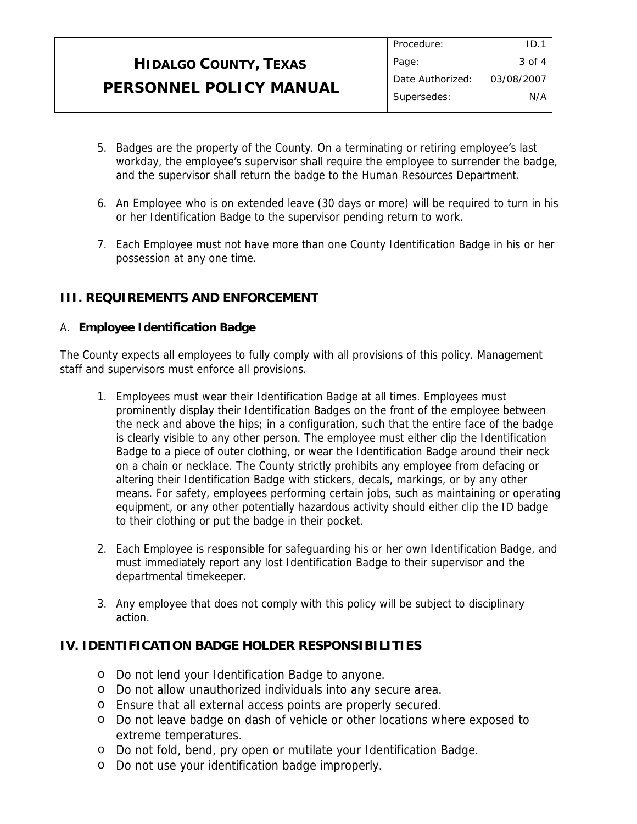- 5. Badges are the property of the County. On a terminating or retiring employee's last workday, the employee's supervisor shall require the employee to surrender the badge, and the supervisor shall return the badge to the Human Resources Department.
- 6. An Employee who is on extended leave (30 days or more) will be required to turn in his or her Identification Badge to the supervisor pending return to work.
- 7. Each Employee must not have more than one County Identification Badge in his or her possession at any one time.

#### **III. REQUIREMENTS AND ENFORCEMENT**

#### A. **Employee Identification Badge**

The County expects all employees to fully comply with all provisions of this policy. Management staff and supervisors must enforce all provisions.

- 1. Employees must wear their Identification Badge at all times. Employees must prominently display their Identification Badges on the front of the employee between the neck and above the hips; in a configuration, such that the entire face of the badge is clearly visible to any other person. The employee must either clip the Identification Badge to a piece of outer clothing, or wear the Identification Badge around their neck on a chain or necklace. The County strictly prohibits any employee from defacing or altering their Identification Badge with stickers, decals, markings, or by any other means. For safety, employees performing certain jobs, such as maintaining or operating equipment, or any other potentially hazardous activity should either clip the ID badge to their clothing or put the badge in their pocket.
- 2. Each Employee is responsible for safeguarding his or her own Identification Badge, and must immediately report any lost Identification Badge to their supervisor and the departmental timekeeper.
- 3. Any employee that does not comply with this policy will be subject to disciplinary action.

#### **IV. IDENTIFICATION BADGE HOLDER RESPONSIBILITIES**

- o Do not lend your Identification Badge to anyone.
- o Do not allow unauthorized individuals into any secure area.
- o Ensure that all external access points are properly secured.
- o Do not leave badge on dash of vehicle or other locations where exposed to extreme temperatures.
- o Do not fold, bend, pry open or mutilate your Identification Badge.
- o Do not use your identification badge improperly.